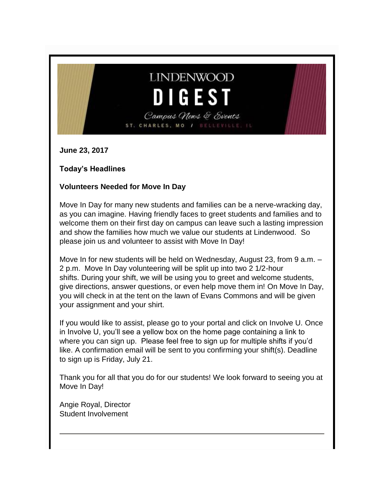# **LINDENWOOD DIGEST**

Campus News & Events ST. CHARLES, MO / BELLEVILLE, IL

**June 23, 2017**

**Today's Headlines**

#### **Volunteers Needed for Move In Day**

Move In Day for many new students and families can be a nerve-wracking day, as you can imagine. Having friendly faces to greet students and families and to welcome them on their first day on campus can leave such a lasting impression and show the families how much we value our students at Lindenwood. So please join us and volunteer to assist with Move In Day!

Move In for new students will be held on Wednesday, August 23, from 9 a.m. – 2 p.m. Move In Day volunteering will be split up into two 2 1/2-hour shifts. During your shift, we will be using you to greet and welcome students, give directions, answer questions, or even help move them in! On Move In Day, you will check in at the tent on the lawn of Evans Commons and will be given your assignment and your shirt.

If you would like to assist, please go to your portal and click on Involve U. Once in Involve U, you'll see a yellow box on the home page containing a link to where you can sign up. Please feel free to sign up for multiple shifts if you'd like. A confirmation email will be sent to you confirming your shift(s). Deadline to sign up is Friday, July 21.

Thank you for all that you do for our students! We look forward to seeing you at Move In Day!

Angie Royal, Director Student Involvement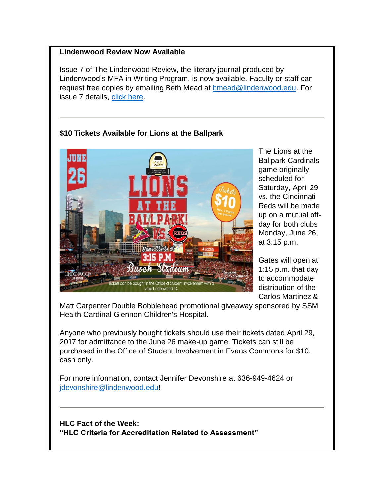#### **Lindenwood Review Now Available**

Issue 7 of The Lindenwood Review, the literary journal produced by Lindenwood's MFA in Writing Program, is now available. Faculty or staff can request free copies by emailing Beth Mead at **bmead@lindenwood.edu.** For issue 7 details, [click here.](http://www.lindenwood.edu/academics/beyond-the-classroom/publications/the-lindenwood-review/issue-7-2017/)

## **\$10 Tickets Available for Lions at the Ballpark**



The Lions at the Ballpark Cardinals game originally scheduled for Saturday, April 29 vs. the Cincinnati Reds will be made up on a mutual offday for both clubs Monday, June 26, at 3:15 p.m.

Gates will open at 1:15 p.m. that day to accommodate distribution of the Carlos Martinez &

Matt Carpenter Double Bobblehead promotional giveaway sponsored by SSM Health Cardinal Glennon Children's Hospital.

Anyone who previously bought tickets should use their tickets dated April 29, 2017 for admittance to the June 26 make-up game. Tickets can still be purchased in the Office of Student Involvement in Evans Commons for \$10, cash only.

For more information, contact Jennifer Devonshire at 636-949-4624 or idevonshire@lindenwood.edu!

**HLC Fact of the Week: "HLC Criteria for Accreditation Related to Assessment"**